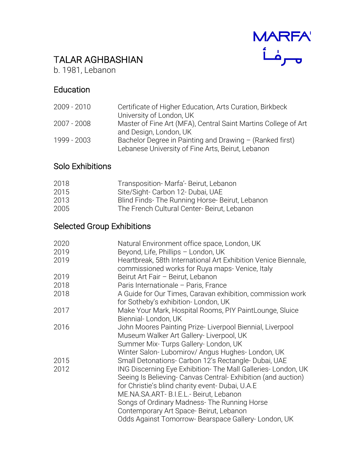

# TALAR AGHBASHIAN

b. 1981, Lebanon

### Education

| 2009 - 2010 | Certificate of Higher Education, Arts Curation, Birkbeck       |
|-------------|----------------------------------------------------------------|
|             | University of London, UK                                       |
| 2007 - 2008 | Master of Fine Art (MFA), Central Saint Martins College of Art |
|             | and Design, London, UK                                         |
| 1999 - 2003 | Bachelor Degree in Painting and Drawing - (Ranked first)       |
|             | Lebanese University of Fine Arts, Beirut, Lebanon              |

### Solo Exhibitions

| Site/Sight- Carbon 12- Dubai, UAE<br>2015             |  |
|-------------------------------------------------------|--|
| Blind Finds-The Running Horse-Beirut, Lebanon<br>2013 |  |
| The French Cultural Center-Beirut, Lebanon<br>2005    |  |

## Selected Group Exhibitions

| 2020 | Natural Environment office space, London, UK                                                                                                                                                                                                                                                                                                                                |
|------|-----------------------------------------------------------------------------------------------------------------------------------------------------------------------------------------------------------------------------------------------------------------------------------------------------------------------------------------------------------------------------|
| 2019 | Beyond, Life, Phillips - London, UK                                                                                                                                                                                                                                                                                                                                         |
| 2019 | Heartbreak, 58th International Art Exhibition Venice Biennale,<br>commissioned works for Ruya maps- Venice, Italy                                                                                                                                                                                                                                                           |
| 2019 | Beirut Art Fair - Beirut, Lebanon                                                                                                                                                                                                                                                                                                                                           |
| 2018 | Paris Internationale - Paris, France                                                                                                                                                                                                                                                                                                                                        |
| 2018 | A Guide for Our Times, Caravan exhibition, commission work<br>for Sotheby's exhibition-London, UK                                                                                                                                                                                                                                                                           |
| 2017 | Make Your Mark, Hospital Rooms, PIY PaintLounge, Sluice<br>Biennial-London, UK                                                                                                                                                                                                                                                                                              |
| 2016 | John Moores Painting Prize-Liverpool Biennial, Liverpool<br>Museum Walker Art Gallery- Liverpool, UK<br>Summer Mix- Turps Gallery- London, UK                                                                                                                                                                                                                               |
| 2015 | Winter Salon-Lubomirov/ Angus Hughes-London, UK<br>Small Detonations- Carbon 12's Rectangle- Dubai, UAE                                                                                                                                                                                                                                                                     |
| 2012 | ING Discerning Eye Exhibition- The Mall Galleries-London, UK<br>Seeing Is Believing- Canvas Central- Exhibition (and auction)<br>for Christie's blind charity event-Dubai, U.A.E<br>ME.NA.SA.ART- B.I.E.L.- Beirut, Lebanon<br>Songs of Ordinary Madness- The Running Horse<br>Contemporary Art Space-Beirut, Lebanon<br>Odds Against Tomorrow-Bearspace Gallery-London, UK |